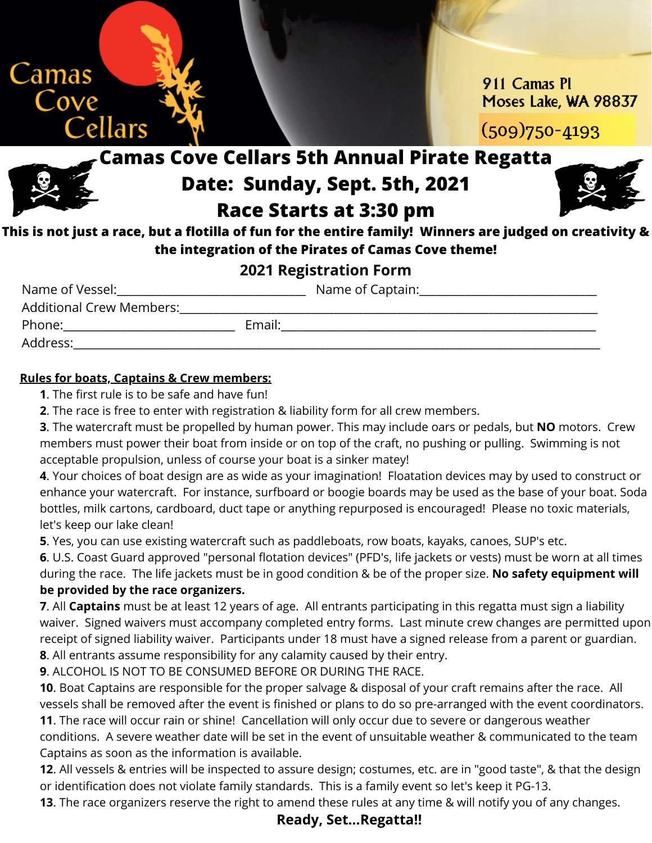

911 Camas PL Moses Lake, WA 98837

(509)750-4193

## **Camas Cove Cellars 5th Annual Pirate Regatta Date: Sunday, Sept. 5th, 2021 Race Starts at 3:30 pm**



**This is not just a race, but a flotilla of fun for the entire family! Winners are judged on creativity & the integration of the Pirates of Camas Cove theme!**

### **2021 Registration Form**

| Name of Vessel:          |        | Name of Captain: |
|--------------------------|--------|------------------|
| Additional Crew Members: |        |                  |
| Phone:                   | Email: |                  |
| Address:                 |        |                  |

#### **Rules for boats, Captains & Crew members:**

**1**. The first rule is to be safe and have fun!

**2**. The race is free to enter with registration & liability form for all crew members.

**3**. The watercraft must be propelled by human power. This may include oars or pedals, but **NO** motors. Crew members must power their boat from inside or on top of the craft, no pushing or pulling. Swimming is not acceptable propulsion, unless of course your boat is a sinker matey!

**4**. Your choices of boat design are as wide as your imagination! Floatation devices may by used to construct or enhance your watercraft. For instance, surfboard or boogie boards may be used as the base of your boat. Soda bottles, milk cartons, cardboard, duct tape or anything repurposed is encouraged! Please no toxic materials, let's keep our lake clean!

**5**. Yes, you can use existing watercraft such as paddleboats, row boats, kayaks, canoes, SUP's etc.

**6**. U.S. Coast Guard approved "personal flotation devices" (PFD's, life jackets or vests) must be worn at all times during the race. The life jackets must be in good condition & be of the proper size. **No safety equipment will be provided by the race organizers.**

**7**. All **Captains** must be at least 12 years of age. All entrants participating in this regatta must sign a liability waiver. Signed waivers must accompany completed entry forms. Last minute crew changes are permitted upon receipt of signed liability waiver. Participants under 18 must have a signed release from a parent or guardian. **8**. All entrants assume responsibility for any calamity caused by their entry.

**9**. ALCOHOL IS NOT TO BE CONSUMED BEFORE OR DURING THE RACE.

**10**. Boat Captains are responsible for the proper salvage & disposal of your craft remains after the race. All vessels shall be removed after the event is finished or plans to do so pre-arranged with the event coordinators. **11**. The race will occur rain or shine! Cancellation will only occur due to severe or dangerous weather

conditions. A severe weather date will be set in the event of unsuitable weather & communicated to the team Captains as soon as the information is available.

**12**. All vessels & entries will be inspected to assure design; costumes, etc. are in "good taste", & that the design or identification does not violate family standards. This is a family event so let's keep it PG-13.

**13**. The race organizers reserve the right to amend these rules at any time & will notify you of any changes.

#### **Ready, Set...Regatta!!**